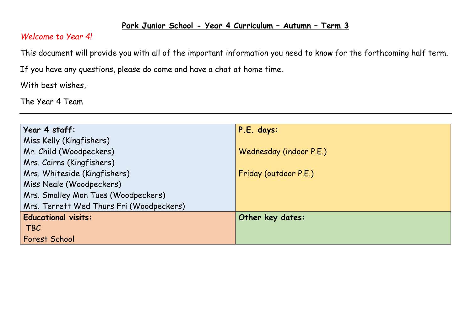## **Park Junior School - Year 4 Curriculum – Autumn – Term 3**

## *Welcome to Year 4!*

This document will provide you with all of the important information you need to know for the forthcoming half term.

If you have any questions, please do come and have a chat at home time.

With best wishes,

The Year 4 Team

| Year 4 staff:                            | P.E. days:              |
|------------------------------------------|-------------------------|
| Miss Kelly (Kingfishers)                 |                         |
| Mr. Child (Woodpeckers)                  | Wednesday (indoor P.E.) |
| Mrs. Cairns (Kingfishers)                |                         |
| Mrs. Whiteside (Kingfishers)             | Friday (outdoor P.E.)   |
| Miss Neale (Woodpeckers)                 |                         |
| Mrs. Smalley Mon Tues (Woodpeckers)      |                         |
| Mrs. Terrett Wed Thurs Fri (Woodpeckers) |                         |
| <b>Educational visits:</b>               | Other key dates:        |
| <b>TBC</b>                               |                         |
| <b>Forest School</b>                     |                         |